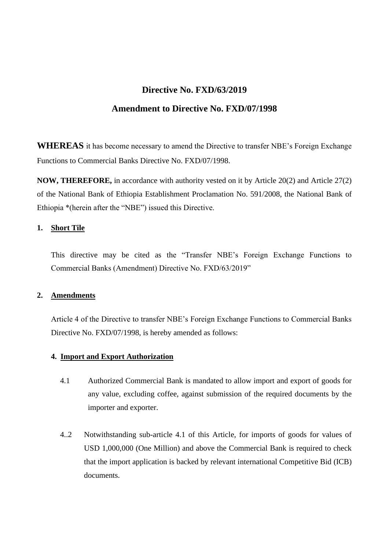# **Directive No. FXD/63/2019**

## **Amendment to Directive No. FXD/07/1998**

**WHEREAS** it has become necessary to amend the Directive to transfer NBE's Foreign Exchange Functions to Commercial Banks Directive No. FXD/07/1998.

**NOW, THEREFORE,** in accordance with authority vested on it by Article 20(2) and Article 27(2) of the National Bank of Ethiopia Establishment Proclamation No. 591/2008, the National Bank of Ethiopia \*(herein after the "NBE") issued this Directive.

## **1. Short Tile**

This directive may be cited as the "Transfer NBE's Foreign Exchange Functions to Commercial Banks (Amendment) Directive No. FXD/63/2019"

## **2. Amendments**

Article 4 of the Directive to transfer NBE's Foreign Exchange Functions to Commercial Banks Directive No. FXD/07/1998, is hereby amended as follows:

#### **4. Import and Export Authorization**

- 4.1 Authorized Commercial Bank is mandated to allow import and export of goods for any value, excluding coffee, against submission of the required documents by the importer and exporter.
- 4..2 Notwithstanding sub-article 4.1 of this Article, for imports of goods for values of USD 1,000,000 (One Million) and above the Commercial Bank is required to check that the import application is backed by relevant international Competitive Bid (ICB) documents.